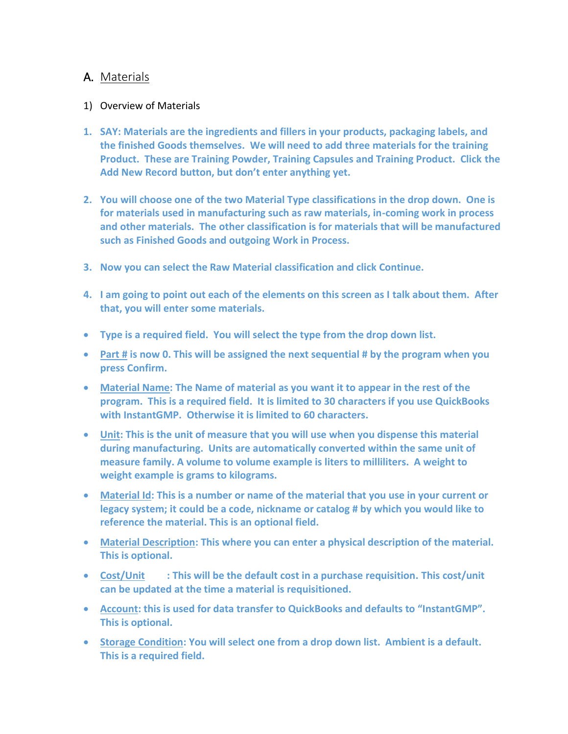## A. Materials

## 1) Overview of Materials

- **1. SAY: Materials are the ingredients and fillers in your products, packaging labels, and the finished Goods themselves. We will need to add three materials for the training Product. These are Training Powder, Training Capsules and Training Product. Click the Add New Record button, but don't enter anything yet.**
- **2. You will choose one of the two Material Type classifications in the drop down. One is for materials used in manufacturing such as raw materials, in-coming work in process and other materials. The other classification is for materials that will be manufactured such as Finished Goods and outgoing Work in Process.**
- **3. Now you can select the Raw Material classification and click Continue.**
- **4. I am going to point out each of the elements on this screen as I talk about them. After that, you will enter some materials.**
- **Type is a required field. You will select the type from the drop down list.**
- **Part # is now 0. This will be assigned the next sequential # by the program when you press Confirm.**
- **Material Name: The Name of material as you want it to appear in the rest of the program. This is a required field. It is limited to 30 characters if you use QuickBooks with InstantGMP. Otherwise it is limited to 60 characters.**
- **Unit: This is the unit of measure that you will use when you dispense this material during manufacturing. Units are automatically converted within the same unit of measure family. A volume to volume example is liters to milliliters. A weight to weight example is grams to kilograms.**
- **Material Id: This is a number or name of the material that you use in your current or legacy system; it could be a code, nickname or catalog # by which you would like to reference the material. This is an optional field.**
- **Material Description: This where you can enter a physical description of the material. This is optional.**
- **Cost/Unit : This will be the default cost in a purchase requisition. This cost/unit can be updated at the time a material is requisitioned.**
- **Account: this is used for data transfer to QuickBooks and defaults to "InstantGMP". This is optional.**
- **Storage Condition: You will select one from a drop down list. Ambient is a default. This is a required field.**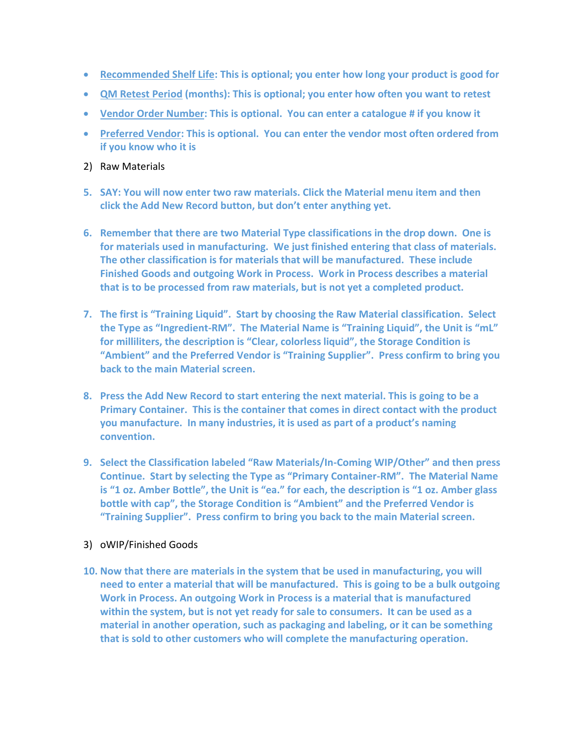- **Recommended Shelf Life: This is optional; you enter how long your product is good for**
- **QM Retest Period (months): This is optional; you enter how often you want to retest**
- **Vendor Order Number: This is optional. You can enter a catalogue # if you know it**
- **Preferred Vendor: This is optional. You can enter the vendor most often ordered from if you know who it is**
- 2) Raw Materials
- **5. SAY: You will now enter two raw materials. Click the Material menu item and then click the Add New Record button, but don't enter anything yet.**
- **6. Remember that there are two Material Type classifications in the drop down. One is for materials used in manufacturing. We just finished entering that class of materials. The other classification is for materials that will be manufactured. These include Finished Goods and outgoing Work in Process. Work in Process describes a material that is to be processed from raw materials, but is not yet a completed product.**
- **7. The first is "Training Liquid". Start by choosing the Raw Material classification. Select the Type as "Ingredient-RM". The Material Name is "Training Liquid", the Unit is "mL" for milliliters, the description is "Clear, colorless liquid", the Storage Condition is "Ambient" and the Preferred Vendor is "Training Supplier". Press confirm to bring you back to the main Material screen.**
- **8. Press the Add New Record to start entering the next material. This is going to be a Primary Container. This is the container that comes in direct contact with the product you manufacture. In many industries, it is used as part of a product's naming convention.**
- **9. Select the Classification labeled "Raw Materials/In-Coming WIP/Other" and then press Continue. Start by selecting the Type as "Primary Container-RM". The Material Name is "1 oz. Amber Bottle", the Unit is "ea." for each, the description is "1 oz. Amber glass bottle with cap", the Storage Condition is "Ambient" and the Preferred Vendor is "Training Supplier". Press confirm to bring you back to the main Material screen.**

## 3) oWIP/Finished Goods

**10. Now that there are materials in the system that be used in manufacturing, you will need to enter a material that will be manufactured. This is going to be a bulk outgoing Work in Process. An outgoing Work in Process is a material that is manufactured within the system, but is not yet ready for sale to consumers. It can be used as a material in another operation, such as packaging and labeling, or it can be something that is sold to other customers who will complete the manufacturing operation.**